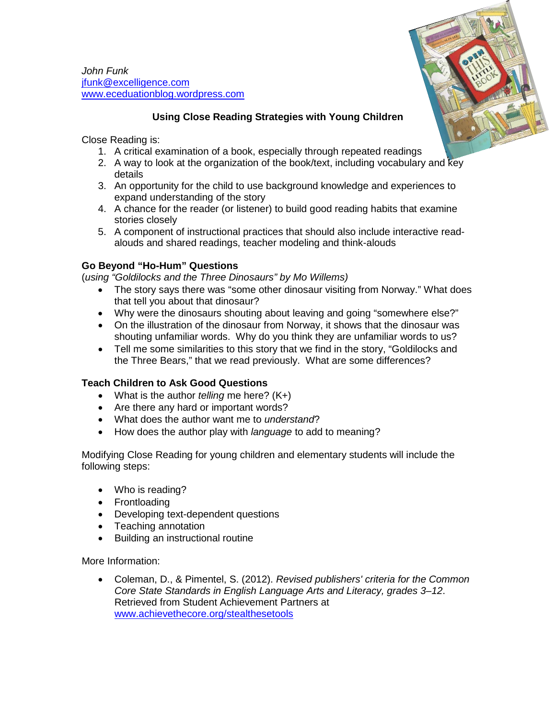*John Funk* [jfunk@excelligence.com](mailto:jfunk@excelligence.com) [www.eceduationblog.wordpress.com](http://www.eceduationblog.wordpress.com/)



# **Using Close Reading Strategies with Young Children**

Close Reading is:

- 1. A critical examination of a book, especially through repeated readings
- 2. A way to look at the organization of the book/text, including vocabulary and key details
- 3. An opportunity for the child to use background knowledge and experiences to expand understanding of the story
- 4. A chance for the reader (or listener) to build good reading habits that examine stories closely
- 5. A component of instructional practices that should also include interactive readalouds and shared readings, teacher modeling and think-alouds

## **Go Beyond "Ho-Hum" Questions**

(*using "Goldilocks and the Three Dinosaurs" by Mo Willems)*

- The story says there was "some other dinosaur visiting from Norway." What does that tell you about that dinosaur?
- Why were the dinosaurs shouting about leaving and going "somewhere else?"
- On the illustration of the dinosaur from Norway, it shows that the dinosaur was shouting unfamiliar words. Why do you think they are unfamiliar words to us?
- Tell me some similarities to this story that we find in the story, "Goldilocks and the Three Bears," that we read previously. What are some differences?

## **Teach Children to Ask Good Questions**

- What is the author *telling* me here? (K+)
- Are there any hard or important words?
- What does the author want me to *understand*?
- How does the author play with *language* to add to meaning?

Modifying Close Reading for young children and elementary students will include the following steps:

- Who is reading?
- Frontloading
- Developing text-dependent questions
- Teaching annotation
- Building an instructional routine

More Information:

• Coleman, D., & Pimentel, S. (2012). *Revised publishers' criteria for the Common Core State Standards in English Language Arts and Literacy, grades 3–12*. Retrieved from Student Achievement Partners at [www.achievethecore.org/stealthesetools](http://www.achievethecore.org/stealthesetools)